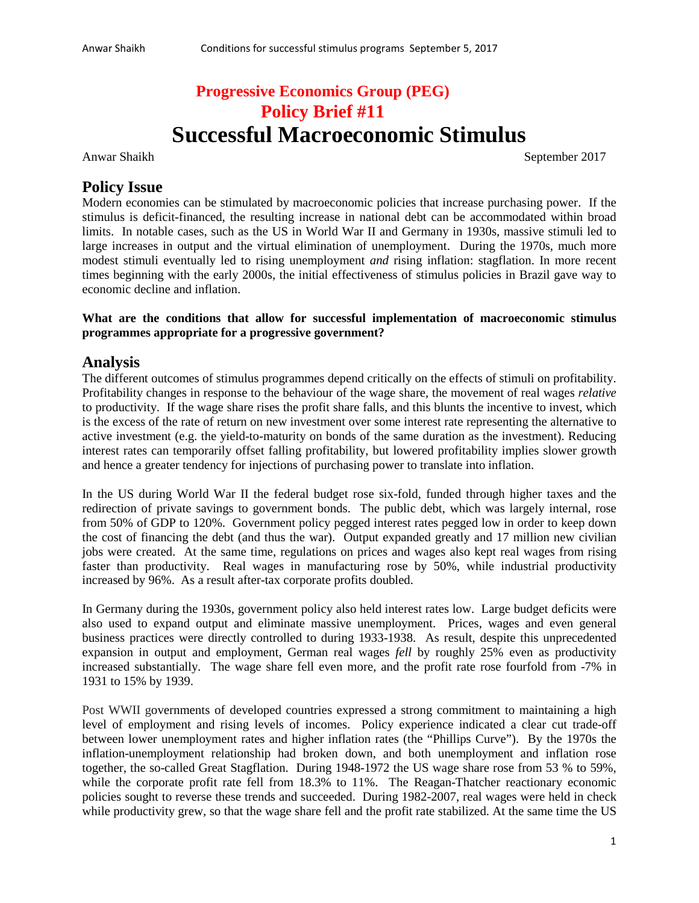# **Progressive Economics Group (PEG) Policy Brief #11 Successful Macroeconomic Stimulus**

Anwar Shaikh September 2017

### **Policy Issue**

Modern economies can be stimulated by macroeconomic policies that increase purchasing power. If the stimulus is deficit-financed, the resulting increase in national debt can be accommodated within broad limits. In notable cases, such as the US in World War II and Germany in 1930s, massive stimuli led to large increases in output and the virtual elimination of unemployment. During the 1970s, much more modest stimuli eventually led to rising unemployment *and* rising inflation: stagflation. In more recent times beginning with the early 2000s, the initial effectiveness of stimulus policies in Brazil gave way to economic decline and inflation.

#### **What are the conditions that allow for successful implementation of macroeconomic stimulus programmes appropriate for a progressive government?**

#### **Analysis**

The different outcomes of stimulus programmes depend critically on the effects of stimuli on profitability. Profitability changes in response to the behaviour of the wage share, the movement of real wages *relative* to productivity. If the wage share rises the profit share falls, and this blunts the incentive to invest, which is the excess of the rate of return on new investment over some interest rate representing the alternative to active investment (e.g. the yield-to-maturity on bonds of the same duration as the investment). Reducing interest rates can temporarily offset falling profitability, but lowered profitability implies slower growth and hence a greater tendency for injections of purchasing power to translate into inflation.

In the US during World War II the federal budget rose six-fold, funded through higher taxes and the redirection of private savings to government bonds. The public debt, which was largely internal, rose from 50% of GDP to 120%. Government policy pegged interest rates pegged low in order to keep down the cost of financing the debt (and thus the war). Output expanded greatly and 17 million new civilian jobs were created. At the same time, regulations on prices and wages also kept real wages from rising faster than productivity. Real wages in manufacturing rose by 50%, while industrial productivity increased by 96%. As a result after-tax corporate profits doubled.

In Germany during the 1930s, government policy also held interest rates low. Large budget deficits were also used to expand output and eliminate massive unemployment. Prices, wages and even general business practices were directly controlled to during 1933-1938. As result, despite this unprecedented expansion in output and employment, German real wages *fell* by roughly 25% even as productivity increased substantially. The wage share fell even more, and the profit rate rose fourfold from -7% in 1931 to 15% by 1939.

Post WWII governments of developed countries expressed a strong commitment to maintaining a high level of employment and rising levels of incomes. Policy experience indicated a clear cut trade-off between lower unemployment rates and higher inflation rates (the "Phillips Curve"). By the 1970s the inflation-unemployment relationship had broken down, and both unemployment and inflation rose together, the so-called Great Stagflation. During 1948-1972 the US wage share rose from 53 % to 59%, while the corporate profit rate fell from 18.3% to 11%. The Reagan-Thatcher reactionary economic policies sought to reverse these trends and succeeded. During 1982-2007, real wages were held in check while productivity grew, so that the wage share fell and the profit rate stabilized. At the same time the US